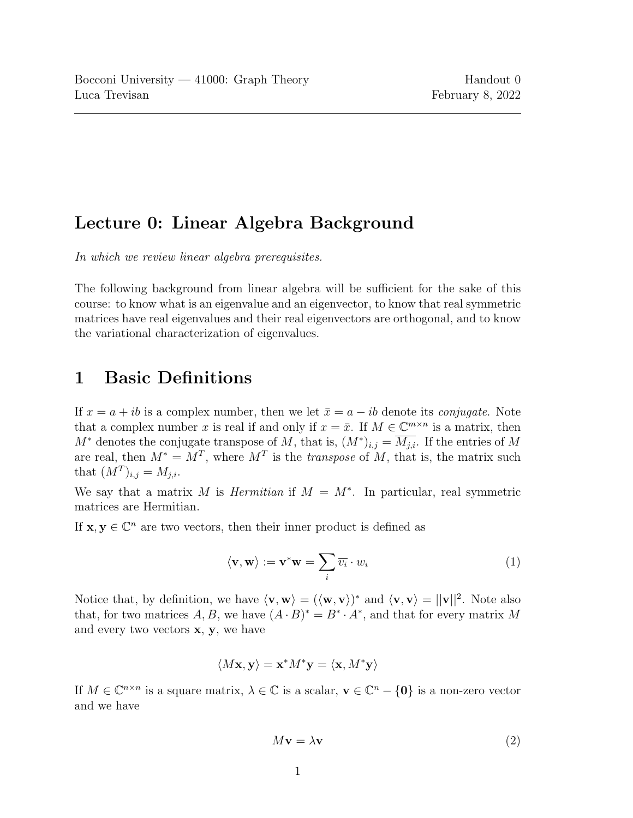## Lecture 0: Linear Algebra Background

In which we review linear algebra prerequisites.

The following background from linear algebra will be sufficient for the sake of this course: to know what is an eigenvalue and an eigenvector, to know that real symmetric matrices have real eigenvalues and their real eigenvectors are orthogonal, and to know the variational characterization of eigenvalues.

## 1 Basic Definitions

If  $x = a + ib$  is a complex number, then we let  $\bar{x} = a - ib$  denote its *conjugate*. Note that a complex number x is real if and only if  $x = \bar{x}$ . If  $M \in \mathbb{C}^{m \times n}$  is a matrix, then  $M^*$  denotes the conjugate transpose of M, that is,  $(M^*)_{i,j} = \overline{M_{j,i}}$ . If the entries of M are real, then  $M^* = M^T$ , where  $M^T$  is the *transpose* of M, that is, the matrix such that  $(M^T)_{i,j} = M_{j,i}$ .

We say that a matrix M is *Hermitian* if  $M = M^*$ . In particular, real symmetric matrices are Hermitian.

If  $\mathbf{x}, \mathbf{y} \in \mathbb{C}^n$  are two vectors, then their inner product is defined as

$$
\langle \mathbf{v}, \mathbf{w} \rangle := \mathbf{v}^* \mathbf{w} = \sum_i \overline{v_i} \cdot w_i \tag{1}
$$

Notice that, by definition, we have  $\langle v, w \rangle = (\langle w, v \rangle)^*$  and  $\langle v, v \rangle = ||v||^2$ . Note also that, for two matrices A, B, we have  $(A \cdot B)^* = B^* \cdot A^*$ , and that for every matrix M and every two vectors  $x, y$ , we have

$$
\langle M\mathbf{x}, \mathbf{y} \rangle = \mathbf{x}^* M^* \mathbf{y} = \langle \mathbf{x}, M^* \mathbf{y} \rangle
$$

If  $M \in \mathbb{C}^{n \times n}$  is a square matrix,  $\lambda \in \mathbb{C}$  is a scalar,  $\mathbf{v} \in \mathbb{C}^n - \{0\}$  is a non-zero vector and we have

$$
M\mathbf{v} = \lambda \mathbf{v} \tag{2}
$$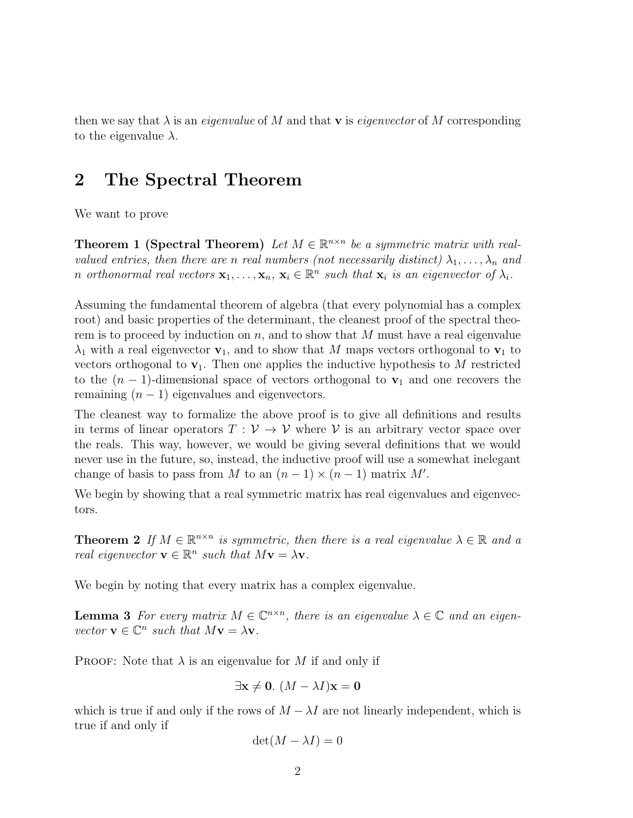then we say that  $\lambda$  is an *eigenvalue* of M and that **v** is *eigenvector* of M corresponding to the eigenvalue  $\lambda$ .

## 2 The Spectral Theorem

We want to prove

**Theorem 1 (Spectral Theorem)** Let  $M \in \mathbb{R}^{n \times n}$  be a symmetric matrix with realvalued entries, then there are n real numbers (not necessarily distinct)  $\lambda_1, \ldots, \lambda_n$  and n orthonormal real vectors  $\mathbf{x}_1, \ldots, \mathbf{x}_n, \mathbf{x}_i \in \mathbb{R}^n$  such that  $\mathbf{x}_i$  is an eigenvector of  $\lambda_i$ .

Assuming the fundamental theorem of algebra (that every polynomial has a complex root) and basic properties of the determinant, the cleanest proof of the spectral theorem is to proceed by induction on  $n$ , and to show that M must have a real eigenvalue  $\lambda_1$  with a real eigenvector  $\mathbf{v}_1$ , and to show that M maps vectors orthogonal to  $\mathbf{v}_1$  to vectors orthogonal to  $\mathbf{v}_1$ . Then one applies the inductive hypothesis to M restricted to the  $(n-1)$ -dimensional space of vectors orthogonal to  $v_1$  and one recovers the remaining  $(n - 1)$  eigenvalues and eigenvectors.

The cleanest way to formalize the above proof is to give all definitions and results in terms of linear operators  $T : V \to V$  where V is an arbitrary vector space over the reals. This way, however, we would be giving several definitions that we would never use in the future, so, instead, the inductive proof will use a somewhat inelegant change of basis to pass from M to an  $(n-1) \times (n-1)$  matrix M'.

We begin by showing that a real symmetric matrix has real eigenvalues and eigenvectors.

<span id="page-1-0"></span>**Theorem 2** If  $M \in \mathbb{R}^{n \times n}$  is symmetric, then there is a real eigenvalue  $\lambda \in \mathbb{R}$  and a real eigenvector  $\mathbf{v} \in \mathbb{R}^n$  such that  $M\mathbf{v} = \lambda \mathbf{v}$ .

We begin by noting that every matrix has a complex eigenvalue.

**Lemma 3** For every matrix  $M \in \mathbb{C}^{n \times n}$ , there is an eigenvalue  $\lambda \in \mathbb{C}$  and an eigenvector  $\mathbf{v} \in \mathbb{C}^n$  such that  $M\mathbf{v} = \lambda \mathbf{v}$ .

**PROOF:** Note that  $\lambda$  is an eigenvalue for M if and only if

$$
\exists \mathbf{x} \neq \mathbf{0}. (M - \lambda I)\mathbf{x} = \mathbf{0}
$$

which is true if and only if the rows of  $M - \lambda I$  are not linearly independent, which is true if and only if

$$
\det(M - \lambda I) = 0
$$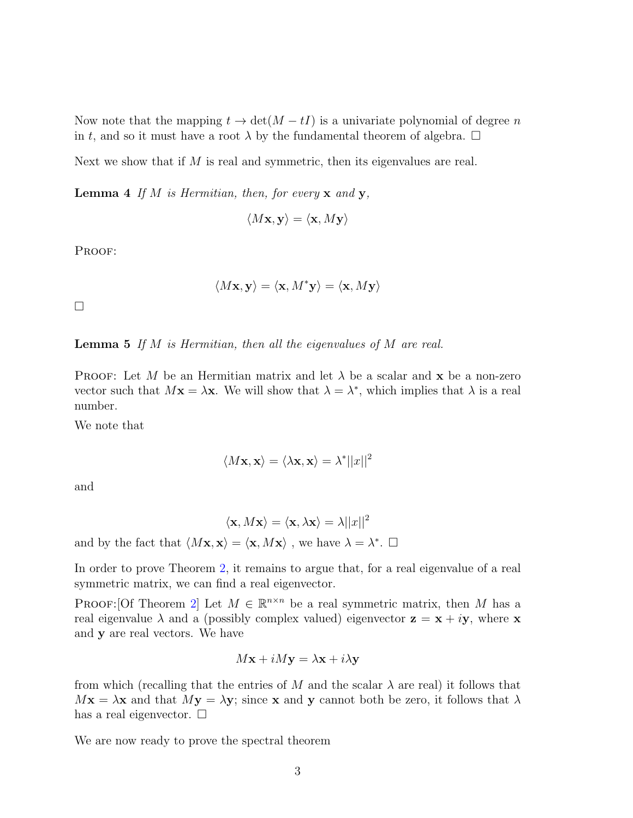Now note that the mapping  $t \to \det(M - tI)$  is a univariate polynomial of degree n in t, and so it must have a root  $\lambda$  by the fundamental theorem of algebra.  $\Box$ 

Next we show that if  $M$  is real and symmetric, then its eigenvalues are real.

**Lemma 4** If M is Hermitian, then, for every  $x$  and  $y$ ,

$$
\langle M\mathbf{x}, \mathbf{y} \rangle = \langle \mathbf{x}, M\mathbf{y} \rangle
$$

PROOF:

$$
\langle M\mathbf{x}, \mathbf{y} \rangle = \langle \mathbf{x}, M^* \mathbf{y} \rangle = \langle \mathbf{x}, M \mathbf{y} \rangle
$$

 $\Box$ 

**Lemma 5** If  $M$  is Hermitian, then all the eigenvalues of  $M$  are real.

**PROOF:** Let M be an Hermitian matrix and let  $\lambda$  be a scalar and **x** be a non-zero vector such that  $M\mathbf{x} = \lambda \mathbf{x}$ . We will show that  $\lambda = \lambda^*$ , which implies that  $\lambda$  is a real number.

We note that

$$
\langle M\mathbf{x}, \mathbf{x} \rangle = \langle \lambda \mathbf{x}, \mathbf{x} \rangle = \lambda^* ||x||^2
$$

and

$$
\langle \mathbf{x}, M\mathbf{x} \rangle = \langle \mathbf{x}, \lambda \mathbf{x} \rangle = \lambda ||x||^2
$$
  
and by the fact that  $\langle M\mathbf{x}, \mathbf{x} \rangle = \langle \mathbf{x}, M\mathbf{x} \rangle$ , we have  $\lambda = \lambda^*$ .  $\square$ 

In order to prove Theorem [2,](#page-1-0) it remains to argue that, for a real eigenvalue of a real symmetric matrix, we can find a real eigenvector.

PROOF: [Of Theorem [2\]](#page-1-0) Let  $M \in \mathbb{R}^{n \times n}$  be a real symmetric matrix, then M has a real eigenvalue  $\lambda$  and a (possibly complex valued) eigenvector  $z = x + iy$ , where x and y are real vectors. We have

$$
M\mathbf{x} + iM\mathbf{y} = \lambda \mathbf{x} + i\lambda \mathbf{y}
$$

from which (recalling that the entries of M and the scalar  $\lambda$  are real) it follows that  $Mx = \lambda x$  and that  $My = \lambda y$ ; since x and y cannot both be zero, it follows that  $\lambda$ has a real eigenvector.  $\square$ 

We are now ready to prove the spectral theorem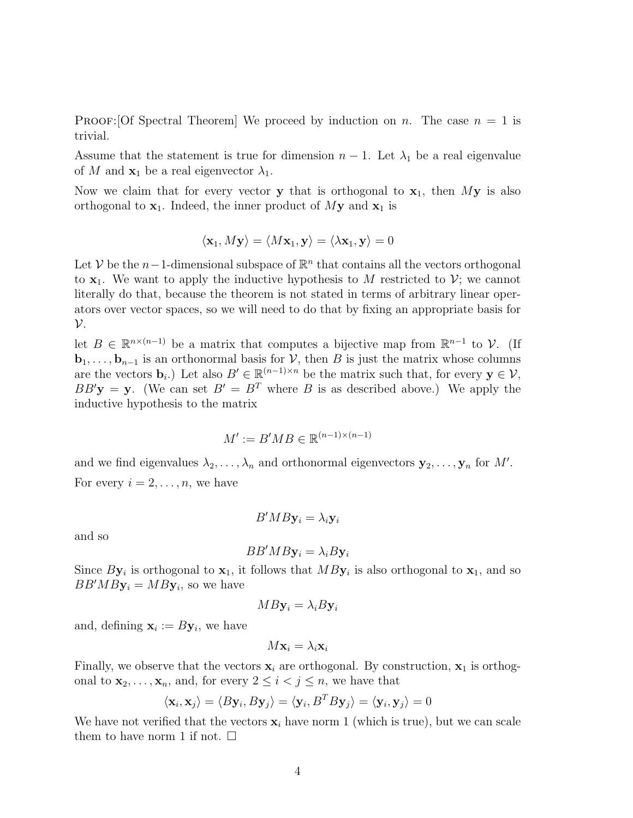**PROOF:**[Of Spectral Theorem] We proceed by induction on n. The case  $n = 1$  is trivial.

Assume that the statement is true for dimension  $n-1$ . Let  $\lambda_1$  be a real eigenvalue of M and  $\mathbf{x}_1$  be a real eigenvector  $\lambda_1$ .

Now we claim that for every vector y that is orthogonal to  $x_1$ , then My is also orthogonal to  $x_1$ . Indeed, the inner product of My and  $x_1$  is

$$
\langle \mathbf{x}_1, M\mathbf{y} \rangle = \langle M\mathbf{x}_1, \mathbf{y} \rangle = \langle \lambda \mathbf{x}_1, \mathbf{y} \rangle = 0
$$

Let V be the  $n-1$ -dimensional subspace of  $\mathbb{R}^n$  that contains all the vectors orthogonal to  $x_1$ . We want to apply the inductive hypothesis to M restricted to V; we cannot literally do that, because the theorem is not stated in terms of arbitrary linear operators over vector spaces, so we will need to do that by fixing an appropriate basis for  $\mathcal V$ .

let  $B \in \mathbb{R}^{n \times (n-1)}$  be a matrix that computes a bijective map from  $\mathbb{R}^{n-1}$  to V. (If  **is an orthonormal basis for**  $V$ **, then B is just the matrix whose columns** are the vectors  $\mathbf{b}_i$ .) Let also  $B' \in \mathbb{R}^{(n-1)\times n}$  be the matrix such that, for every  $\mathbf{y} \in \mathcal{V}$ ,  $BB'$ **y** = **y**. (We can set  $B' = B^T$  where B is as described above.) We apply the inductive hypothesis to the matrix

$$
M':=B'MB\in\mathbb{R}^{(n-1)\times (n-1)}
$$

and we find eigenvalues  $\lambda_2, \ldots, \lambda_n$  and orthonormal eigenvectors  $y_2, \ldots, y_n$  for M'. For every  $i = 2, \ldots, n$ , we have

$$
B'MB\mathbf{y}_i = \lambda_i \mathbf{y}_i
$$

and so

$$
BB'MBy_i = \lambda_i By_i
$$

Since  $By_i$  is orthogonal to  $\mathbf{x}_1$ , it follows that  $MBy_i$  is also orthogonal to  $\mathbf{x}_1$ , and so  $BB'MBy_i = MBy_i$ , so we have

$$
MB\mathbf{y}_i = \lambda_i B\mathbf{y}_i
$$

and, defining  $\mathbf{x}_i := B\mathbf{y}_i$ , we have

$$
M\mathbf{x}_i = \lambda_i \mathbf{x}_i
$$

Finally, we observe that the vectors  $x_i$  are orthogonal. By construction,  $x_1$  is orthogonal to  $\mathbf{x}_2, \ldots, \mathbf{x}_n$ , and, for every  $2 \leq i < j \leq n$ , we have that

$$
\langle \mathbf{x}_i, \mathbf{x}_j \rangle = \langle B\mathbf{y}_i, B\mathbf{y}_j \rangle = \langle \mathbf{y}_i, B^T B\mathbf{y}_j \rangle = \langle \mathbf{y}_i, \mathbf{y}_j \rangle = 0
$$

We have not verified that the vectors  $x_i$  have norm 1 (which is true), but we can scale them to have norm 1 if not.  $\square$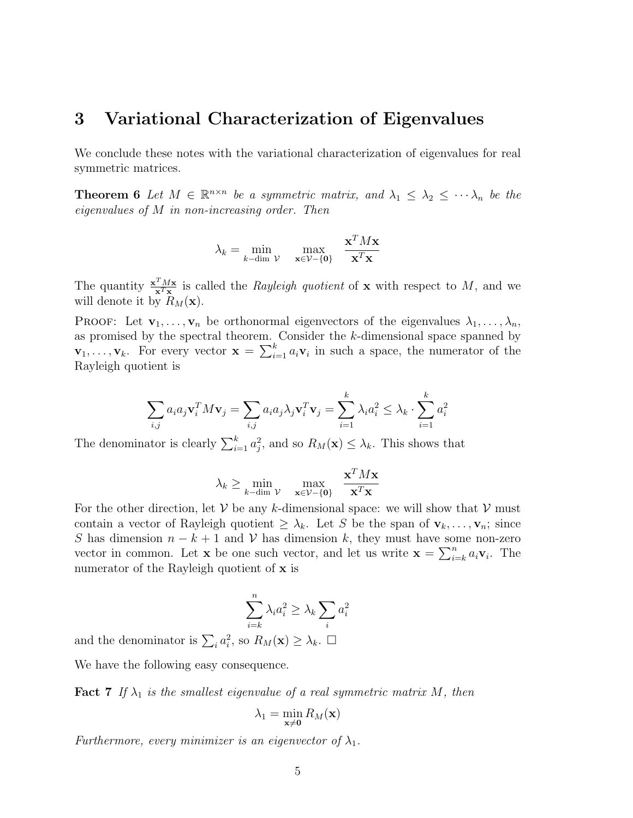## 3 Variational Characterization of Eigenvalues

We conclude these notes with the variational characterization of eigenvalues for real symmetric matrices.

**Theorem 6** Let  $M \in \mathbb{R}^{n \times n}$  be a symmetric matrix, and  $\lambda_1 \leq \lambda_2 \leq \cdots \lambda_n$  be the eigenvalues of M in non-increasing order. Then

$$
\lambda_k = \min_{k - \dim \mathcal{V}} \quad \max_{\mathbf{x} \in \mathcal{V} - \{\mathbf{0}\}} \quad \frac{\mathbf{x}^T M \mathbf{x}}{\mathbf{x}^T \mathbf{x}}
$$

The quantity  $\frac{\mathbf{x}^T M \mathbf{x}}{\mathbf{x}^T \mathbf{x}}$  $\frac{d^2 M \mathbf{x}}{\mathbf{x}^T \mathbf{x}}$  is called the *Rayleigh quotient* of **x** with respect to M, and we will denote it by  $R_M(\mathbf{x})$ .

**PROOF:** Let  $\mathbf{v}_1, \ldots, \mathbf{v}_n$  be orthonormal eigenvectors of the eigenvalues  $\lambda_1, \ldots, \lambda_n$ , as promised by the spectral theorem. Consider the k-dimensional space spanned by  $\mathbf{v}_1, \ldots, \mathbf{v}_k$ . For every vector  $\mathbf{x} = \sum_{i=1}^k a_i \mathbf{v}_i$  in such a space, the numerator of the Rayleigh quotient is

$$
\sum_{i,j} a_i a_j \mathbf{v}_i^T M \mathbf{v}_j = \sum_{i,j} a_i a_j \lambda_j \mathbf{v}_i^T \mathbf{v}_j = \sum_{i=1}^k \lambda_i a_i^2 \leq \lambda_k \cdot \sum_{i=1}^k a_i^2
$$

The denominator is clearly  $\sum_{i=1}^{k} a_i^2$ , and so  $R_M(\mathbf{x}) \leq \lambda_k$ . This shows that

$$
\lambda_k \ge \min_{k-\dim \mathcal{V}} \max_{\mathbf{x} \in \mathcal{V} - \{\mathbf{0}\}} \frac{\mathbf{x}^T M \mathbf{x}}{\mathbf{x}^T \mathbf{x}}
$$

For the other direction, let V be any k-dimensional space: we will show that V must contain a vector of Rayleigh quotient  $\geq \lambda_k$ . Let S be the span of  $\mathbf{v}_k, \ldots, \mathbf{v}_n$ ; since S has dimension  $n - k + 1$  and V has dimension k, they must have some non-zero vector in common. Let **x** be one such vector, and let us write  $\mathbf{x} = \sum_{i=k}^{n} a_i \mathbf{v}_i$ . The numerator of the Rayleigh quotient of x is

$$
\sum_{i=k}^{n} \lambda_i a_i^2 \ge \lambda_k \sum_i a_i^2
$$

and the denominator is  $\sum_i a_i^2$ , so  $R_M(\mathbf{x}) \geq \lambda_k$ .  $\Box$ 

<span id="page-4-0"></span>We have the following easy consequence.

**Fact 7** If  $\lambda_1$  is the smallest eigenvalue of a real symmetric matrix M, then

$$
\lambda_1 = \min_{\mathbf{x} \neq \mathbf{0}} R_M(\mathbf{x})
$$

Furthermore, every minimizer is an eigenvector of  $\lambda_1$ .